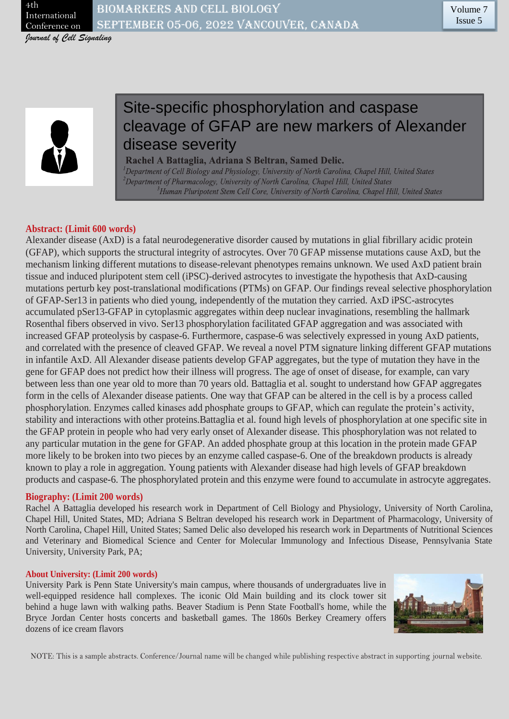

# Site-specific phosphorylation and caspase cleavage of GFAP are new markers of Alexander disease severity

Rachel A Battaglia, Adriana S Beltran, Samed Delic. Department of Cell Biology and Physiology, University of North Carolina, Chapel Hill, United States  $^2$ Department of Pharmacology, University of North Carolina, Chapel Hill, United States  ${}^3$ Human Pluripotent Stem Cell Core, University of North Carolina, Chapel Hill, United States

## **Abstract: (Limit 600 words)**

Alexander disease (AxD) is a fatal neurodegenerative disorder caused by mutations in glial fibrillary acidic protein (GFAP), which supports the structural integrity of astrocytes. Over 70 GFAP missense mutations cause AxD, but the mechanism linking different mutations to disease-relevant phenotypes remains unknown. We used AxD patient brain tissue and induced pluripotent stem cell (iPSC)-derived astrocytes to investigate the hypothesis that AxD-causing mutations perturb key post-translational modifications (PTMs) on GFAP. Our findings reveal selective phosphorylation of GFAP-Ser13 in patients who died young, independently of the mutation they carried. AxD iPSC-astrocytes accumulated pSer13-GFAP in cytoplasmic aggregates within deep nuclear invaginations, resembling the hallmark Rosenthal fibers observed in vivo. Ser13 phosphorylation facilitated GFAP aggregation and was associated with increased GFAP proteolysis by caspase-6. Furthermore, caspase-6 was selectively expressed in young AxD patients, and correlated with the presence of cleaved GFAP. We reveal a novel PTM signature linking different GFAP mutations in infantile AxD. All Alexander disease patients develop GFAP aggregates, but the type of mutation they have in the gene for GFAP does not predict how their illness will progress. The age of onset of disease, for example, can vary between less than one year old to more than 70 years old. Battaglia et al. sought to understand how GFAP aggregates form in the cells of Alexander disease patients. One way that GFAP can be altered in the cell is by a process called phosphorylation. Enzymes called kinases add phosphate groups to GFAP, which can regulate the protein's activity, stability and interactions with other proteins.Battaglia et al. found high levels of phosphorylation at one specific site in the GFAP protein in people who had very early onset of Alexander disease. This phosphorylation was not related to any particular mutation in the gene for GFAP. An added phosphate group at this location in the protein made GFAP more likely to be broken into two pieces by an enzyme called caspase-6. One of the breakdown products is already known to play a role in aggregation. Young patients with Alexander disease had high levels of GFAP breakdown products and caspase-6. The phosphorylated protein and this enzyme were found to accumulate in astrocyte aggregates.

### **Biography: (Limit 200 words)**

Rachel A Battaglia developed his research work in Department of Cell Biology and Physiology, University of North Carolina, Chapel Hill, United States, MD; Adriana S Beltran developed his research work in Department of Pharmacology, University of North Carolina, Chapel Hill, United States; Samed Delic also developed his research work in Departments of Nutritional Sciences and Veterinary and Biomedical Science and Center for Molecular Immunology and Infectious Disease, Pennsylvania State University, University Park, PA;

### **About University: (Limit 200 words)**

University Park is Penn State University's main campus, where thousands of undergraduates live in well-equipped residence hall complexes. The iconic Old Main building and its clock tower sit behind a huge lawn with walking paths. Beaver Stadium is Penn State Football's home, while the Bryce Jordan Center hosts concerts and basketball games. The 1860s Berkey Creamery offers dozens of ice cream flavors



NOTE: This is a sample abstracts. Conference/Journal name will be changed while publishing respective abstract in supporting journal website.